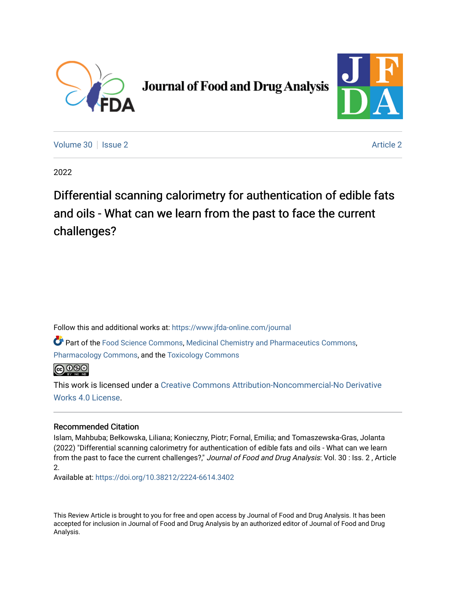

# **Journal of Food and Drug Analysis**



[Volume 30](https://www.jfda-online.com/journal/vol30) | [Issue 2](https://www.jfda-online.com/journal/vol30/iss2) [Article 2](https://www.jfda-online.com/journal/vol30/iss2/2) Article 2 Article 2 Article 2 Article 2 Article 2 Article 2 Article 2 Article 2

2022

Differential scanning calorimetry for authentication of edible fats and oils - What can we learn from the past to face the current challenges?

Follow this and additional works at: [https://www.jfda-online.com/journal](https://www.jfda-online.com/journal?utm_source=www.jfda-online.com%2Fjournal%2Fvol30%2Fiss2%2F2&utm_medium=PDF&utm_campaign=PDFCoverPages)

Part of the [Food Science Commons,](https://network.bepress.com/hgg/discipline/84?utm_source=www.jfda-online.com%2Fjournal%2Fvol30%2Fiss2%2F2&utm_medium=PDF&utm_campaign=PDFCoverPages) [Medicinal Chemistry and Pharmaceutics Commons](https://network.bepress.com/hgg/discipline/65?utm_source=www.jfda-online.com%2Fjournal%2Fvol30%2Fiss2%2F2&utm_medium=PDF&utm_campaign=PDFCoverPages), [Pharmacology Commons,](https://network.bepress.com/hgg/discipline/66?utm_source=www.jfda-online.com%2Fjournal%2Fvol30%2Fiss2%2F2&utm_medium=PDF&utm_campaign=PDFCoverPages) and the [Toxicology Commons](https://network.bepress.com/hgg/discipline/67?utm_source=www.jfda-online.com%2Fjournal%2Fvol30%2Fiss2%2F2&utm_medium=PDF&utm_campaign=PDFCoverPages)

**@** 00

This work is licensed under a [Creative Commons Attribution-Noncommercial-No Derivative](https://creativecommons.org/licenses/by-nc-nd/4.0/)  [Works 4.0 License](https://creativecommons.org/licenses/by-nc-nd/4.0/).

# Recommended Citation

Islam, Mahbuba; Bełkowska, Liliana; Konieczny, Piotr; Fornal, Emilia; and Tomaszewska-Gras, Jolanta (2022) "Differential scanning calorimetry for authentication of edible fats and oils - What can we learn from the past to face the current challenges?," Journal of Food and Drug Analysis: Vol. 30 : Iss. 2, Article 2.

Available at:<https://doi.org/10.38212/2224-6614.3402>

This Review Article is brought to you for free and open access by Journal of Food and Drug Analysis. It has been accepted for inclusion in Journal of Food and Drug Analysis by an authorized editor of Journal of Food and Drug Analysis.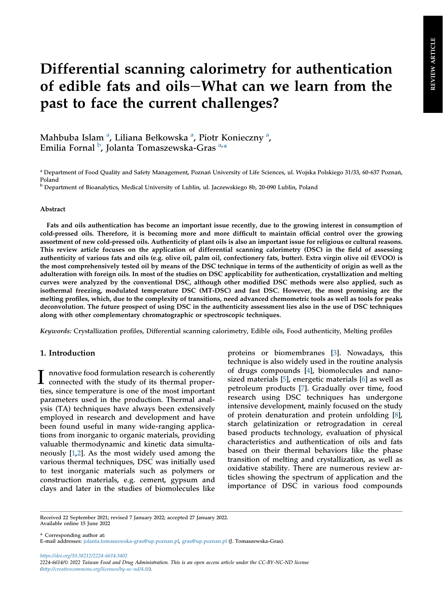# Differential scanning calorimetry for authentication of edible fats and oils-What can we learn from the past to face the current challenges?

M[a](#page-1-0)hbuba Islam <sup>a</sup>, Liliana Bełkowska <sup>a</sup>, Piotr Konieczny <sup>a</sup>, Emilia Fornal <sup>[b](#page-1-1)</sup>, Jolanta Tomaszewska-Gras <sup>[a,](#page-1-0)</sup>\*

#### Abstract

Fats and oils authentication has become an important issue recently, due to the growing interest in consumption of cold-pressed oils. Therefore, it is becoming more and more difficult to maintain official control over the growing assortment of new cold-pressed oils. Authenticity of plant oils is also an important issue for religious or cultural reasons. This review article focuses on the application of differential scanning calorimetry (DSC) in the field of assessing authenticity of various fats and oils (e.g. olive oil, palm oil, confectionery fats, butter). Extra virgin olive oil (EVOO) is the most comprehensively tested oil by means of the DSC technique in terms of the authenticity of origin as well as the adulteration with foreign oils. In most of the studies on DSC applicability for authentication, crystallization and melting curves were analyzed by the conventional DSC, although other modified DSC methods were also applied, such as isothermal freezing, modulated temperature DSC (MT-DSC) and fast DSC. However, the most promising are the melting profiles, which, due to the complexity of transitions, need advanced chemometric tools as well as tools for peaks deconvolution. The future prospect of using DSC in the authenticity assessment lies also in the use of DSC techniques along with other complementary chromatographic or spectroscopic techniques.

Keywords: Crystallization profiles, Differential scanning calorimetry, Edible oils, Food authenticity, Melting profiles

# 1. Introduction

I nnovative food formulation research is coherently connected with the study of its thermal properties, since temperature is one of the most important parameters used in the production. Thermal analysis (TA) techniques have always been extensively employed in research and development and have been found useful in many wide-ranging applications from inorganic to organic materials, providing valuable thermodynamic and kinetic data simultaneously [\[1](#page-15-0),[2\]](#page-15-1). As the most widely used among the various thermal techniques, DSC was initially used to test inorganic materials such as polymers or construction materials, e.g. cement, gypsum and clays and later in the studies of biomolecules like

proteins or biomembranes [\[3](#page-15-2)]. Nowadays, this technique is also widely used in the routine analysis of drugs compounds [\[4](#page-15-3)], biomolecules and nanosized materials [\[5](#page-15-4)], energetic materials [[6\]](#page-15-5) as well as petroleum products [[7\]](#page-15-6). Gradually over time, food research using DSC techniques has undergone intensive development, mainly focused on the study of protein denaturation and protein unfolding [[8\]](#page-15-7), starch gelatinization or retrogradation in cereal based products technology, evaluation of physical characteristics and authentication of oils and fats based on their thermal behaviors like the phase transition of melting and crystallization, as well as oxidative stability. There are numerous review articles showing the spectrum of application and the importance of DSC in various food compounds

\* Corresponding author at:

<https://doi.org/10.38212/2224-6614.3402> 2224-6614/© 2022 Taiwan Food and Drug Administration. This is an open access article under the CC-BY-NC-ND license [\(http://creativecommons.org/licenses/by-nc-nd/4.0/\)](http://creativecommons.org/licenses/by-nc-nd/4.0/).

<span id="page-1-0"></span><sup>&</sup>lt;sup>a</sup> Department of Food Quality and Safety Management, Poznań University of Life Sciences, ul. Wojska Polskiego 31/33, 60-637 Poznań, Poland

<span id="page-1-1"></span><sup>b</sup> Department of Bioanalytics, Medical University of Lublin, ul. Jaczewskiego 8b, 20-090 Lublin, Poland

Received 22 September 2021; revised 7 January 2022; accepted 27 January 2022. Available online 15 June 2022

E-mail addresses: [jolanta.tomaszewska-gras@up.poznan.pl,](mailto:jolanta.tomaszewska-gras@up.poznan.pl) [gras@up.poznan.pl](mailto:gras@up.poznan.pl) (J. Tomaszewska-Gras).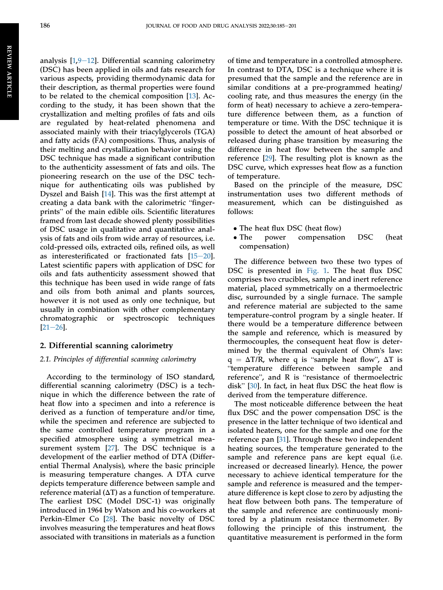analysis  $[1,9-12]$  $[1,9-12]$  $[1,9-12]$  $[1,9-12]$  $[1,9-12]$  $[1,9-12]$ . Differential scanning calorimetry (DSC) has been applied in oils and fats research for various aspects, providing thermodynamic data for their description, as thermal properties were found to be related to the chemical composition [[13\]](#page-15-9). According to the study, it has been shown that the crystallization and melting profiles of fats and oils are regulated by heat-related phenomena and associated mainly with their triacylglycerols (TGA) and fatty acids (FA) compositions. Thus, analysis of their melting and crystallization behavior using the DSC technique has made a significant contribution to the authenticity assessment of fats and oils. The pioneering research on the use of the DSC technique for authenticating oils was published by Dyszel and Baish [[14\]](#page-15-10). This was the first attempt at nique for authenticating ons was published by<br>Dyszel and Baish [14]. This was the first attempt at<br>creating a data bank with the calorimetric "finger-Dyszer and baish [14]. This was the first attempt at<br>creating a data bank with the calorimetric "finger-<br>prints" of the main edible oils. Scientific literatures framed from last decade showed plenty possibilities of DSC usage in qualitative and quantitative analysis of fats and oils from wide array of resources, i.e. cold-pressed oils, extracted oils, refined oils, as well as interesterificated or fractionated fats  $[15-20]$  $[15-20]$  $[15-20]$  $[15-20]$  $[15-20]$ . Latest scientific papers with application of DSC for oils and fats authenticity assessment showed that this technique has been used in wide range of fats and oils from both animal and plants sources, however it is not used as only one technique, but usually in combination with other complementary chromatographic or spectroscopic techniques  $[21-26]$  $[21-26]$  $[21-26]$ .

#### 2. Differential scanning calorimetry

#### 2.1. Principles of differential scanning calorimetry

According to the terminology of ISO standard, differential scanning calorimetry (DSC) is a technique in which the difference between the rate of heat flow into a specimen and into a reference is derived as a function of temperature and/or time, while the specimen and reference are subjected to the same controlled temperature program in a specified atmosphere using a symmetrical measurement system [[27\]](#page-15-13). The DSC technique is a development of the earlier method of DTA (Differential Thermal Analysis), where the basic principle is measuring temperature changes. A DTA curve depicts temperature difference between sample and reference material  $(\Delta T)$  as a function of temperature. The earliest DSC (Model DSC-1) was originally introduced in 1964 by Watson and his co-workers at Perkin-Elmer Co [[28\]](#page-15-14). The basic novelty of DSC involves measuring the temperatures and heat flows associated with transitions in materials as a function

of time and temperature in a controlled atmosphere. In contrast to DTA, DSC is a technique where it is presumed that the sample and the reference are in similar conditions at a pre-programmed heating/ cooling rate, and thus measures the energy (in the form of heat) necessary to achieve a zero-temperature difference between them, as a function of temperature or time. With the DSC technique it is possible to detect the amount of heat absorbed or released during phase transition by measuring the difference in heat flow between the sample and reference [\[29](#page-15-15)]. The resulting plot is known as the DSC curve, which expresses heat flow as a function of temperature.

Based on the principle of the measure, DSC instrumentation uses two different methods of measurement, which can be distinguished as follows:

- The heat flux DSC (heat flow)<br>• The power compensation
- compensation DSC (heat compensation)

The difference between two these two types of DSC is presented in [Fig. 1.](#page-3-0) The heat flux DSC comprises two crucibles, sample and inert reference material, placed symmetrically on a thermoelectric disc, surrounded by a single furnace. The sample and reference material are subjected to the same temperature-control program by a single heater. If there would be a temperature difference between the sample and reference, which is measured by thermocouples, the consequent heat flow is determined by the thermal equivalent of Ohm's law: mermocouples, the consequent heat how is deter-<br>mined by the thermal equivalent of Ohm's law:<br> $q = \Delta T/R$ , where q is "sample heat flow",  $\Delta T$  is<br>"temperature difference between sample and  $\mathbf{r}$ temperature difference between sample and  $q = \Delta T/K$ , where q is sample heat now,  $\Delta T$  is<br>
"temperature difference between sample and<br>
reference", and R is "resistance of thermoelectric reference", and R is "resistance of thermoelectric disk" [[30\]](#page-15-16). In fact, in heat flux DSC the heat flow is derived from the temperature difference.

The most noticeable difference between the heat flux DSC and the power compensation DSC is the presence in the latter technique of two identical and isolated heaters, one for the sample and one for the reference pan [\[31](#page-15-17)]. Through these two independent heating sources, the temperature generated to the sample and reference pans are kept equal (i.e. increased or decreased linearly). Hence, the power necessary to achieve identical temperature for the sample and reference is measured and the temperature difference is kept close to zero by adjusting the heat flow between both pans. The temperature of the sample and reference are continuously monitored by a platinum resistance thermometer. By following the principle of this instrument, the quantitative measurement is performed in the form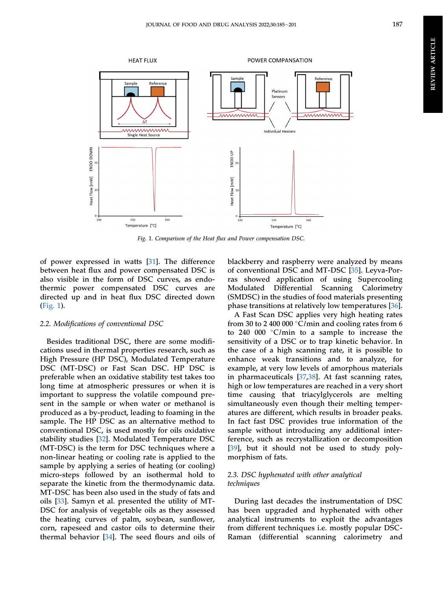<span id="page-3-0"></span>

Fig. 1. Comparison of the Heat flux and Power compensation DSC.

of power expressed in watts [[31\]](#page-15-17). The difference between heat flux and power compensated DSC is also visible in the form of DSC curves, as endothermic power compensated DSC curves are directed up and in heat flux DSC directed down [\(Fig. 1\)](#page-3-0).

#### 2.2. Modifications of conventional DSC

Besides traditional DSC, there are some modifications used in thermal properties research, such as High Pressure (HP DSC), Modulated Temperature DSC (MT-DSC) or Fast Scan DSC. HP DSC is preferable when an oxidative stability test takes too long time at atmospheric pressures or when it is important to suppress the volatile compound present in the sample or when water or methanol is produced as a by-product, leading to foaming in the sample. The HP DSC as an alternative method to conventional DSC, is used mostly for oils oxidative stability studies [\[32](#page-15-18)]. Modulated Temperature DSC (MT-DSC) is the term for DSC techniques where a non-linear heating or cooling rate is applied to the sample by applying a series of heating (or cooling) micro-steps followed by an isothermal hold to separate the kinetic from the thermodynamic data. MT-DSC has been also used in the study of fats and oils [[33\]](#page-15-19). Samyn et al. presented the utility of MT-DSC for analysis of vegetable oils as they assessed the heating curves of palm, soybean, sunflower, corn, rapeseed and castor oils to determine their thermal behavior [\[34](#page-15-20)]. The seed flours and oils of blackberry and raspberry were analyzed by means of conventional DSC and MT-DSC [\[35](#page-15-21)]. Leyva-Porras showed application of using Supercooling<br>Modulated Differential Scanning Calorimetry Modulated Differential Scanning Calorimetry (SMDSC) in the studies of food materials presenting phase transitions at relatively low temperatures [[36\]](#page-15-22).

A Fast Scan DSC applies very high heating rates from 30 to 2 400 000  $\degree$ C/min and cooling rates from 6 to 240 000 C/min to a sample to increase the sensitivity of a DSC or to trap kinetic behavior. In the case of a high scanning rate, it is possible to enhance weak transitions and to analyze, for example, at very low levels of amorphous materials in pharmaceuticals [\[37](#page-15-23),[38\]](#page-15-24). At fast scanning rates, high or low temperatures are reached in a very short time causing that triacylglycerols are melting simultaneously even though their melting temperatures are different, which results in broader peaks. In fact fast DSC provides true information of the sample without introducing any additional interference, such as recrystallization or decomposition [\[39](#page-16-0)], but it should not be used to study polymorphism of fats.

#### 2.3. DSC hyphenated with other analytical techniques

During last decades the instrumentation of DSC has been upgraded and hyphenated with other analytical instruments to exploit the advantages from different techniques i.e. mostly popular DSC-Raman (differential scanning calorimetry and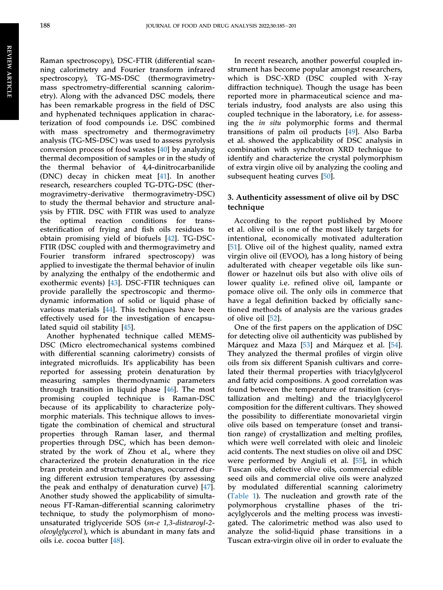Raman spectroscopy), DSC-FTIR (differential scanning calorimetry and Fourier transform infrared spectroscopy), TG-MS-DSC (thermogravimetrymass spectrometry-differential scanning calorimetry). Along with the advanced DSC models, there has been remarkable progress in the field of DSC and hyphenated techniques application in characterization of food compounds i.e. DSC combined with mass spectrometry and thermogravimetry analysis (TG-MS-DSC) was used to assess pyrolysis conversion process of food wastes [[40\]](#page-16-1) by analyzing thermal decomposition of samples or in the study of the thermal behavior of 4,4-dinitrocarbanilide (DNC) decay in chicken meat [[41\]](#page-16-2). In another research, researchers coupled TG-DTG-DSC (thermogravimetry-derivative thermogravimetry-DSC) to study the thermal behavior and structure analysis by FTIR. DSC with FTIR was used to analyze the optimal reaction conditions for transesterification of frying and fish oils residues to obtain promising yield of biofuels [\[42](#page-16-3)]. TG-DSC-FTIR (DSC coupled with and thermogravimetry and Fourier transform infrared spectroscopy) was applied to investigate the thermal behavior of inulin by analyzing the enthalpy of the endothermic and exothermic events) [[43\]](#page-16-4). DSC-FTIR techniques can provide parallelly the spectroscopic and thermodynamic information of solid or liquid phase of various materials [[44\]](#page-16-5). This techniques have been effectively used for the investigation of encapsulated squid oil stability [\[45](#page-16-6)].

Another hyphenated technique called MEMS-DSC (Micro electromechanical systems combined with differential scanning calorimetry) consists of integrated microfluids. It's applicability has been reported for assessing protein denaturation by measuring samples thermodynamic parameters through transition in liquid phase [[46\]](#page-16-7). The most promising coupled technique is Raman-DSC because of its applicability to characterize polymorphic materials. This technique allows to investigate the combination of chemical and structural properties through Raman laser, and thermal properties through DSC, which has been demonstrated by the work of Zhou et al., where they characterized the protein denaturation in the rice bran protein and structural changes, occurred during different extrusion temperatures (by assessing the peak and enthalpy of denaturation curve) [\[47](#page-16-8)]. Another study showed the applicability of simultaneous FT-Raman-differential scanning calorimetry technique, to study the polymorphism of monounsaturated triglyceride SOS (sn-e 1,3-distearoyl-2 oleoylglycerol ), which is abundant in many fats and oils i.e. cocoa butter [[48\]](#page-16-9).

In recent research, another powerful coupled instrument has become popular amongst researchers, which is DSC-XRD (DSC coupled with X-ray diffraction technique). Though the usage has been reported more in pharmaceutical science and materials industry, food analysts are also using this coupled technique in the laboratory, i.e. for assessing the in situ polymorphic forms and thermal transitions of palm oil products [[49\]](#page-16-10). Also Barba et al. showed the applicability of DSC analysis in combination with synchrotron XRD technique to identify and characterize the crystal polymorphism of extra virgin olive oil by analyzing the cooling and subsequent heating curves [[50\]](#page-16-11).

# 3. Authenticity assessment of olive oil by DSC technique

According to the report published by Moore et al. olive oil is one of the most likely targets for intentional, economically motivated adulteration [\[51\]](#page-16-12). Olive oil of the highest quality, named extra virgin olive oil (EVOO), has a long history of being adulterated with cheaper vegetable oils like sunflower or hazelnut oils but also with olive oils of lower quality i.e. refined olive oil, lampante or pomace olive oil. The only oils in commerce that have a legal definition backed by officially sanctioned methods of analysis are the various grades of olive oil [[52](#page-16-13)].

One of the first papers on the application of DSC for detecting olive oil authenticity was published by Márquez and Maza  $[53]$  $[53]$  $[53]$  and Márquez et al.  $[54]$  $[54]$ . They analyzed the thermal profiles of virgin olive oils from six different Spanish cultivars and correlated their thermal properties with triacylglycerol and fatty acid compositions. A good correlation was found between the temperature of transition (crystallization and melting) and the triacylglycerol composition for the different cultivars. They showed the possibility to differentiate monovarietal virgin olive oils based on temperature (onset and transition range) of crystallization and melting profiles, which were well correlated with oleic and linoleic acid contents. The next studies on olive oil and DSC were performed by Angiuli et al. [[55\]](#page-16-16), in which Tuscan oils, defective olive oils, commercial edible seed oils and commercial olive oils were analyzed by modulated differential scanning calorimetry [\(Table 1\)](#page-5-0). The nucleation and growth rate of the polymorphous crystalline phases of the triacylglycerols and the melting process was investigated. The calorimetric method was also used to analyze the solid-liquid phase transitions in a Tuscan extra-virgin olive oil in order to evaluate the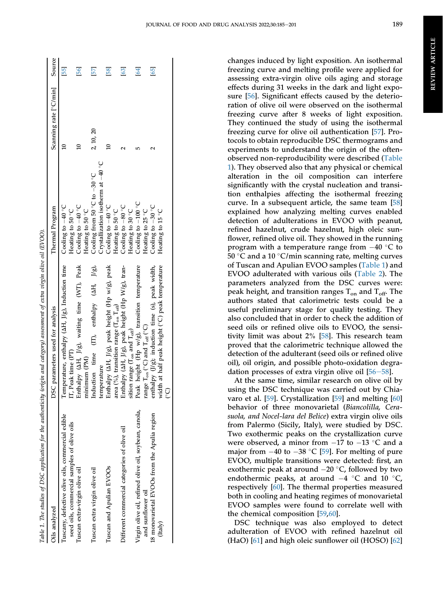<span id="page-5-0"></span>

|                                                       | Table 1. The studies of DSC application for the authenticity (origin and category) assessment of extra virgin olive oil (EVOO). |                                                 |                        |        |
|-------------------------------------------------------|---------------------------------------------------------------------------------------------------------------------------------|-------------------------------------------------|------------------------|--------|
| Oils analyzed                                         | DSC parameters used for analysis                                                                                                | Thermal Program                                 | Scanning rate [°C/min] | Source |
| Tuscany, defective olive oils, commercial edible      | Temperature, enthalpy (AH, J/g), Induction time                                                                                 | Cooling to $-40$ °C                             |                        | 55     |
| seed oils, commercial samples of olive oils           | Peak time (PT)                                                                                                                  | Heating to 50 °C                                |                        |        |
| Tuscan extra-virgin olive oil                         | halpy (AH, J/g), waiting time (WT), Peak<br>吉                                                                                   | Cooling to -40 °C                               |                        | 56     |
|                                                       | imum (PM)<br>min                                                                                                                | Heating to 50 °C                                |                        |        |
| Tuscan extra virgin olive oil                         | Induction time (IT), enthalpy (AH, J/g),                                                                                        | Cooling from 50 $^{\circ}$ C to $-30^{\circ}$ C | 2, 10, 20              | 57     |
|                                                       | temperature                                                                                                                     | Crystallization isotherm at -40 °C              |                        |        |
| Tuscan and Apulian EVOOs                              | halpy (AH, J/g), peak height (Hp w/g), peak<br>Entl                                                                             | Cooling to $-40$ °C                             |                        | 58     |
|                                                       | area (%), transition range ( $T_{on}T_{off}$ )                                                                                  | Heating to 50 °C                                |                        |        |
| Different commercial categories of olive oil          | halpy (AH, J/g), peak height (Hp W/g), tran-<br>百日                                                                              | Cooling to -80 °C                               |                        | [63]   |
|                                                       | sition range ( $T_{\rm on}$ and $T_{\rm off}$ )                                                                                 | Heating to 30 °C                                |                        |        |
| Virgin olive oil, refined olive oil, soybean, canola, | Peak height (Hp w/g), transition temperature                                                                                    | Cooling to -100 °C                              |                        | 64     |
| and sunflower oil                                     | range $T_{on}$ (°C) and $T_{off}$ (°C)                                                                                          | Heating to 25 °C                                |                        |        |
| 18 monovarietal EVOOs from the Apulia region          | enthalpy (J/g); induction time (s), peak width,                                                                                 | Cooling to -30 °C                               |                        | [65]   |
| (Italy)                                               | th at half peak height (°C) peak temperature<br>हे                                                                              | Heating to 15 °C                                |                        |        |
|                                                       | ି                                                                                                                               |                                                 |                        |        |
|                                                       |                                                                                                                                 |                                                 |                        |        |

changes induced by light exposition. An isothermal freezing curve and melting profile were applied for assessing extra-virgin olive oils aging and storage effects during 31 weeks in the dark and light exposure [[56\]](#page-16-17). Significant effects caused by the deterioration of olive oil were observed on the isothermal freezing curve after 8 weeks of light exposition. They continued the study of using the isothermal freezing curve for olive oil authentication [[57\]](#page-16-18). Protocols to obtain reproducible DSC thermograms and experiments to understand the origin of the oftenobserved non-reproducibility were described [\(Table](#page-5-0) [1](#page-5-0)). They observed also that any physical or chemical alteration in the oil composition can interfere significantly with the crystal nucleation and transition enthalpies affecting the isothermal freezing curve. In a subsequent article, the same team [\[58](#page-16-19)] explained how analyzing melting curves enabled detection of adulterations in EVOO with peanut, refined hazelnut, crude hazelnut, high oleic sunflower, refined olive oil. They showed in the running program with a temperature range from  $-40$  °C to 50 °C and a 10 °C/min scanning rate, melting curves of Tuscan and Apulian EVOO samples ([Table 1\)](#page-5-0) and EVOO adulterated with various oils [\(Table 2](#page-6-0)). The parameters analyzed from the DSC curves were: peak height, and transition ranges  $T_{on}$  and  $T_{off}$ . The authors stated that calorimetric tests could be a useful preliminary stage for quality testing. They also concluded that in order to check the addition of seed oils or refined olive oils to EVOO, the sensitivity limit was about 2% [\[58](#page-16-19)]. This research team proved that the calorimetric technique allowed the detection of the adulterant (seed oils or refined olive oil), oil origin, and possible photo-oxidation degradation processes of extra virgin olive oil  $[56-58]$  $[56-58]$  $[56-58]$  $[56-58]$  $[56-58]$ .

At the same time, similar research on olive oil by using the DSC technique was carried out by Chiavaro et al. [\[59](#page-16-20)]. Crystallization [[59\]](#page-16-20) and melting [\[60](#page-16-21)] behavior of three monovarietal (Biancolilla, Cerasuola, and Nocel-lara del Belice) extra virgin olive oils from Palermo (Sicily, Italy), were studied by DSC. Two exothermic peaks on the crystallization curve were observed, a minor from  $-17$  to  $-13$  °C and a major from  $-40$  to  $-38$  °C [[59\]](#page-16-20). For melting of pure EVOO, multiple transitions were detected: first, an exothermic peak at around  $-20$  °C, followed by two endothermic peaks, at around  $-4$  °C and 10 °C, respectively [\[60](#page-16-21)]. The thermal properties measured both in cooling and heating regimes of monovarietal EVOO samples were found to correlate well with the chemical composition [[59,](#page-16-20)[60](#page-16-21)].

DSC technique was also employed to detect adulteration of EVOO with refined hazelnut oil (HaO) [\[61](#page-16-22)] and high oleic sunflower oil (HOSO) [\[62](#page-16-23)]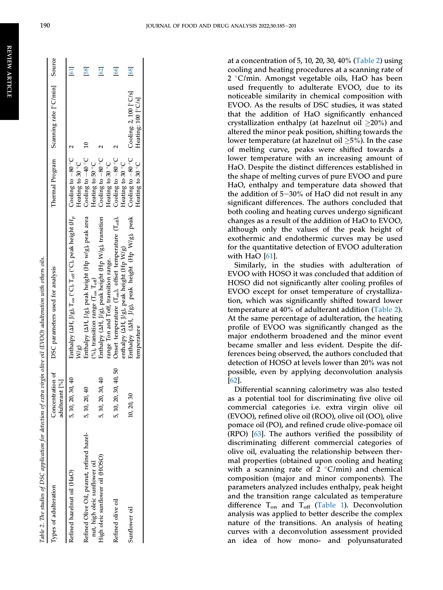<span id="page-6-0"></span>

| Types of adulteration                                                      | ð<br>Concentration<br>adulterant [%] | DSC parameters used for analysis                                                                               |                                                  | Thermal Program Scanning rate [°C/min] Source                       |      |
|----------------------------------------------------------------------------|--------------------------------------|----------------------------------------------------------------------------------------------------------------|--------------------------------------------------|---------------------------------------------------------------------|------|
| Refined hazelnut oil (HaO)                                                 | 5, 10, 20, 30, 40                    | Enthalpy (AH, J/g), $T_{on}$ (°C), $T_{off}$ (°C), peak height ( $H_{\rm p}$ Cooling to $-80$ ° C $-2$<br>W/g) | Heating to 30 °C                                 |                                                                     | 61   |
| Refined Olive Oil, peanut, refined hazel-<br>nut, high oleic sunflower oil | 5, 10, 20, 40                        | Enthalpy (AH, J/g), peak height (Hp w/g), peak area<br>(%), transition range $(T_{\rm on} \ T_{\rm off})$      | Cooling to $-40\degree$ C 10<br>Heating to 50 °C |                                                                     | 58   |
| High oleic sunflower oil (HOSO)                                            | 5, 10, 20, 30, 40                    | Enthalpy (AH, J/g), peak height (Hp W/g), transition<br>range Ton and Toff, transition range.                  | Cooling to $-80^{\circ}$ C<br>Heating to 30 °C   |                                                                     | 62   |
| Refined olive oil                                                          | 50<br>5, 10, 20, 30, 40,             | Onset temperature ( $T_{on}$ ), offset temperature ( $T_{off}$ ),<br>enthalpy (AH, J/g), peak height (Hp W/g)  | Cooling to $-80$ °C<br>Heating to 30 °C          |                                                                     | [66] |
| Sunflower oil                                                              | 10, 20, 30                           | Enthalpy (AH, J/g), peak height (Hp W/g), peak<br>temperature                                                  | Heating to 30 °C                                 | Cooling to $-80$ °C cooling: 2, 100 $[°C/s]$<br>Heating: 100 [°C/s] | [68] |

at a concentration of 5, 10, 20, 30, 40% [\(Table 2\)](#page-6-0) using cooling and heating procedures at a scanning rate of 2 °C/min. Amongst vegetable oils, HaO has been used frequently to adulterate EVOO, due to its noticeable similarity in chemical composition with EVOO. As the results of DSC studies, it was stated that the addition of HaO significantly enhanced crystallization enthalpy (at hazelnut oil  $\geq$ 20%) and altered the minor peak position, shifting towards the lower temperature (at hazelnut oil  $\geq$ 5%). In the case of melting curve, peaks were shifted towards a lower temperature with an increasing amount of HaO. Despite the distinct differences established in the shape of melting curves of pure EVOO and pure HaO, enthalpy and temperature data showed that the addition of  $5-30\%$  of HaO did not result in any significant differences. The authors concluded that both cooling and heating curves undergo significant changes as a result of the addition of HaO to EVOO, although only the values of the peak height of exothermic and endothermic curves may be used for the quantitative detection of EVOO adulteration with HaO [[61\]](#page-16-22).

Similarly, in the studies with adulteration of EVOO with HOSO it was concluded that addition of HOSO did not significantly alter cooling profiles of EVOO except for onset temperature of crystallization, which was significantly shifted toward lower temperature at 40% of adulterant addition ([Table 2\)](#page-6-0). At the same percentage of adulteration, the heating profile of EVOO was significantly changed as the major endotherm broadened and the minor event became smaller and less evident. Despite the differences being observed, the authors concluded that detection of HOSO at levels lower than 20% was not possible, even by applying deconvolution analysis [\[62](#page-16-23)].

Differential scanning calorimetry was also tested as a potential tool for discriminating five olive oil commercial categories i.e. extra virgin olive oil (EVOO), refined olive oil (ROO), olive oil (OO), olive pomace oil (PO), and refined crude olive-pomace oil (RPO) [[63\]](#page-16-24). The authors verified the possibility of discriminating different commercial categories of olive oil, evaluating the relationship between thermal properties (obtained upon cooling and heating with a scanning rate of  $2 \degree C/min$  and chemical composition (major and minor components). The parameters analyzed includes enthalpy, peak height and the transition range calculated as temperature difference  $T_{on}$  and  $T_{off}$  ([Table 1\)](#page-5-0). Deconvolution analysis was applied to better describe the complex nature of the transitions. An analysis of heating curves with a deconvolution assessment provided an idea of how mono- and polyunsaturated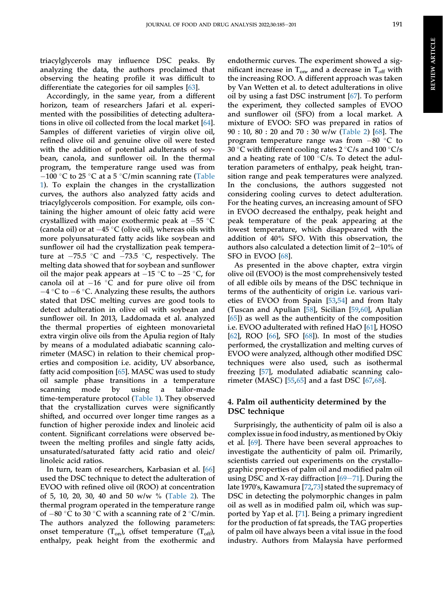triacylglycerols may influence DSC peaks. By analyzing the data, the authors proclaimed that observing the heating profile it was difficult to differentiate the categories for oil samples [\[63\]](#page-16-24).

Accordingly, in the same year, from a different horizon, team of researchers Jafari et al. experimented with the possibilities of detecting adulterations in olive oil collected from the local market [\[64](#page-16-25)]. Samples of different varieties of virgin olive oil, refined olive oil and genuine olive oil were tested with the addition of potential adulterants of soybean, canola, and sunflower oil. In the thermal program, the temperature range used was from  $-100$  °C to 25 °C at a 5 °C/min scanning rate ([Table](#page-5-0) [1\)](#page-5-0). To explain the changes in the crystallization curves, the authors also analyzed fatty acids and triacylglycerols composition. For example, oils containing the higher amount of oleic fatty acid were crystallized with major exothermic peak at  $-55$  °C (canola oil) or at  $-45$  °C (olive oil), whereas oils with more polyunsaturated fatty acids like soybean and sunflower oil had the crystallization peak temperature at  $-75.5$  °C and  $-73.5$  °C, respectively. The melting data showed that for soybean and sunflower oil the major peak appears at  $-15$  °C to  $-25$  °C, for canola oil at  $-16$  °C and for pure olive oil from  $-4$  °C to  $-6$  °C. Analyzing these results, the authors stated that DSC melting curves are good tools to detect adulteration in olive oil with soybean and sunflower oil. In 2013, Laddomada et al. analyzed the thermal properties of eighteen monovarietal extra virgin olive oils from the Apulia region of Italy by means of a modulated adiabatic scanning calorimeter (MASC) in relation to their chemical properties and composition i.e. acidity, UV absorbance, fatty acid composition [[65](#page-16-26)]. MASC was used to study oil sample phase transitions in a temperature scanning mode by using a tailor-made time-temperature protocol [\(Table 1\)](#page-5-0). They observed that the crystallization curves were significantly shifted, and occurred over longer time ranges as a function of higher peroxide index and linoleic acid content. Significant correlations were observed between the melting profiles and single fatty acids, unsaturated/saturated fatty acid ratio and oleic/ linoleic acid ratios.

In turn, team of researchers, Karbasian et al. [[66\]](#page-16-27) used the DSC technique to detect the adulteration of EVOO with refined olive oil (ROO) at concentration of 5, 10, 20, 30, 40 and 50 w/w % ([Table 2](#page-6-0)). The thermal program operated in the temperature range of  $-80$  °C to 30 °C with a scanning rate of 2 °C/min. The authors analyzed the following parameters: onset temperature  $(T_{on})$ , offset temperature  $(T_{off})$ , enthalpy, peak height from the exothermic and

endothermic curves. The experiment showed a significant increase in  $T_{\text{on}}$  and a decrease in  $T_{\text{off}}$  with the increasing ROO. A different approach was taken by Van Wetten et al. to detect adulterations in olive oil by using a fast DSC instrument [[67\]](#page-16-29). To perform the experiment, they collected samples of EVOO and sunflower oil (SFO) from a local market. A mixture of EVOO: SFO was prepared in ratios of 90 : 10, 80 : 20 and 70 : 30 w/w ([Table 2\)](#page-6-0) [\[68](#page-16-28)]. The program temperature range was from  $-80$  °C to 30 °C with different cooling rates 2 °C/s and 100 °C/s and a heating rate of 100  $\degree$ C/s. To detect the adulteration parameters of enthalpy, peak height, transition range and peak temperatures were analyzed. In the conclusions, the authors suggested not considering cooling curves to detect adulteration. For the heating curves, an increasing amount of SFO in EVOO decreased the enthalpy, peak height and peak temperature of the peak appearing at the lowest temperature, which disappeared with the addition of 40% SFO. With this observation, the authors also calculated a detection limit of  $2-10%$  of SFO in EVOO [[68\]](#page-16-28).

As presented in the above chapter, extra virgin olive oil (EVOO) is the most comprehensively tested of all edible oils by means of the DSC technique in terms of the authenticity of origin i.e. various varieties of EVOO from Spain [[53,](#page-16-14)[54](#page-16-15)] and from Italy (Tuscan and Apulian [[58\]](#page-16-19), Sicilian [\[59](#page-16-20),[60\]](#page-16-21), Apulian [\[65](#page-16-26)]) as well as the authenticity of the composition i.e. EVOO adulterated with refined HaO [[61\]](#page-16-22), HOSO [\[62](#page-16-23)], ROO [[66\]](#page-16-27), SFO [\[68](#page-16-28)]). In most of the studies performed, the crystallization and melting curves of EVOO were analyzed, although other modified DSC techniques were also used, such as isothermal freezing [[57\]](#page-16-18), modulated adiabatic scanning calorimeter (MASC) [\[55](#page-16-16),[65\]](#page-16-26) and a fast DSC [\[67](#page-16-29),[68\]](#page-16-28).

# 4. Palm oil authenticity determined by the DSC technique

Surprisingly, the authenticity of palm oil is also a complex issue in food industry, as mentioned by Okiy et al. [[69\]](#page-16-30). There have been several approaches to investigate the authenticity of palm oil. Primarily, scientists carried out experiments on the crystallographic properties of palm oil and modified palm oil using DSC and X-ray diffraction  $[69-71]$  $[69-71]$  $[69-71]$  $[69-71]$ . During the late 1970's, Kawamura [\[72](#page-16-31),[73](#page-16-32)] stated the supremacy of DSC in detecting the polymorphic changes in palm oil as well as in modified palm oil, which was supported by Yap et al. [[71\]](#page-16-33). Being a primary ingredient for the production of fat spreads, the TAG properties of palm oil have always been a vital issue in the food industry. Authors from Malaysia have performed

REVIEW ARTICLE

**REVIEW ARTICLE**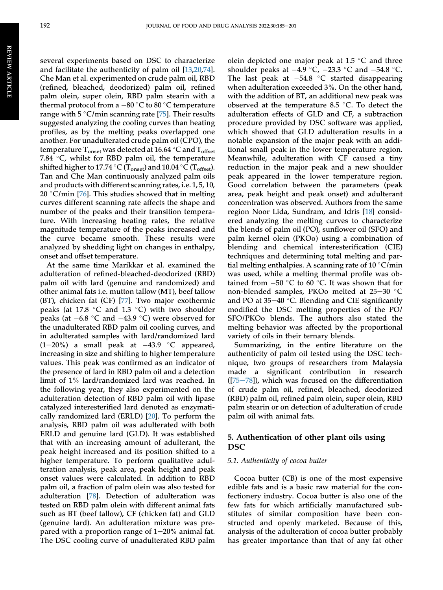several experiments based on DSC to characterize and facilitate the authenticity of palm oil [\[13](#page-15-9),[20](#page-15-25)[,74](#page-17-0)]. Che Man et al. experimented on crude palm oil, RBD (refined, bleached, deodorized) palm oil, refined palm olein, super olein, RBD palm stearin with a thermal protocol from a  $-80$  °C to 80 °C temperature range with  $5^{\circ}$ C/min scanning rate [\[75](#page-17-1)]. Their results suggested analyzing the cooling curves than heating profiles, as by the melting peaks overlapped one another. For unadulterated crude palm oil (CPO), the temperature  $T_{onset}$  was detected at 16.64 °C and  $T_{offset}$ 7.84  $\degree$ C, whilst for RBD palm oil, the temperature shifted higher to 17.74 °C ( $T_{onset}$ ) and 10.04 °C ( $T_{offset}$ ). Tan and Che Man continuously analyzed palm oils and products with different scanning rates, i.e. 1, 5, 10, 20 °C/min [[76\]](#page-17-2). This studies showed that in melting curves different scanning rate affects the shape and number of the peaks and their transition temperature. With increasing heating rates, the relative magnitude temperature of the peaks increased and the curve became smooth. These results were analyzed by shedding light on changes in enthalpy, onset and offset temperature.

At the same time Marikkar et al. examined the adulteration of refined-bleached-deodorized (RBD) palm oil with lard (genuine and randomized) and other animal fats i.e. mutton tallow (MT), beef tallow (BT), chicken fat (CF) [[77\]](#page-17-3). Two major exothermic peaks (at 17.8  $\degree$ C and 1.3  $\degree$ C) with two shoulder peaks (at  $-6.8$  °C and  $-43.9$  °C) were observed for the unadulterated RBD palm oil cooling curves, and in adulterated samples with lard/randomized lard  $(1-20\%)$  a small peak at  $-43.9$  °C appeared, increasing in size and shifting to higher temperature values. This peak was confirmed as an indicator of the presence of lard in RBD palm oil and a detection limit of 1% lard/randomized lard was reached. In the following year, they also experimented on the adulteration detection of RBD palm oil with lipase catalyzed interesterified lard denoted as enzymatically randomized lard (ERLD) [[20\]](#page-15-25). To perform the analysis, RBD palm oil was adulterated with both ERLD and genuine lard (GLD). It was established that with an increasing amount of adulterant, the peak height increased and its position shifted to a higher temperature. To perform qualitative adulteration analysis, peak area, peak height and peak onset values were calculated. In addition to RBD palm oil, a fraction of palm olein was also tested for adulteration [[78\]](#page-17-4). Detection of adulteration was tested on RBD palm olein with different animal fats such as BT (beef tallow), CF (chicken fat) and GLD (genuine lard). An adulteration mixture was prepared with a proportion range of  $1-20%$  animal fat. The DSC cooling curve of unadulterated RBD palm

olein depicted one major peak at  $1.5 \text{ }^{\circ}C$  and three shoulder peaks at  $-4.9$  °C,  $-23.3$  °C and  $-54.8$  °C. The last peak at  $-54.8$  °C started disappearing when adulteration exceeded 3%. On the other hand, with the addition of BT, an additional new peak was observed at the temperature 8.5 °C. To detect the adulteration effects of GLD and CF, a subtraction procedure provided by DSC software was applied, which showed that GLD adulteration results in a notable expansion of the major peak with an additional small peak in the lower temperature region. Meanwhile, adulteration with CF caused a tiny reduction in the major peak and a new shoulder peak appeared in the lower temperature region. Good correlation between the parameters (peak area, peak height and peak onset) and adulterant concentration was observed. Authors from the same region Noor Lida, Sundram, and Idris [[18\]](#page-15-26) considered analyzing the melting curves to characterize the blends of palm oil (PO), sunflower oil (SFO) and palm kernel olein (PKOo) using a combination of blending and chemical interesterification (CIE) techniques and determining total melting and partial melting enthalpies. A scanning rate of  $10^{\circ}$ C/min was used, while a melting thermal profile was obtained from  $-50$  °C to 60 °C. It was shown that for non-blended samples, PKOo melted at  $25-30$  °C and PO at  $35-40$  °C. Blending and CIE significantly modified the DSC melting properties of the PO/ SFO/PKOo blends. The authors also stated the melting behavior was affected by the proportional variety of oils in their ternary blends.

Summarizing, in the entire literature on the authenticity of palm oil tested using the DSC technique, two groups of researchers from Malaysia made a significant contribution in research  $([75-78])$  $([75-78])$  $([75-78])$  $([75-78])$  $([75-78])$ , which was focused on the differentiation of crude palm oil, refined, bleached, deodorized (RBD) palm oil, refined palm olein, super olein, RBD palm stearin or on detection of adulteration of crude palm oil with animal fats.

### 5. Authentication of other plant oils using DSC

#### 5.1. Authenticity of cocoa butter

Cocoa butter (CB) is one of the most expensive edible fats and is a basic raw material for the confectionery industry. Cocoa butter is also one of the few fats for which artificially manufactured substitutes of similar composition have been constructed and openly marketed. Because of this, analysis of the adulteration of cocoa butter probably has greater importance than that of any fat other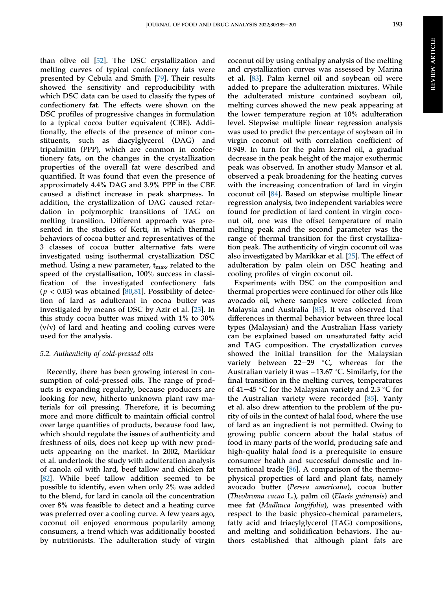than olive oil [[52\]](#page-16-13). The DSC crystallization and melting curves of typical confectionery fats were presented by Cebula and Smith [[79\]](#page-17-5). Their results showed the sensitivity and reproducibility with which DSC data can be used to classify the types of confectionery fat. The effects were shown on the DSC profiles of progressive changes in formulation to a typical cocoa butter equivalent (CBE). Additionally, the effects of the presence of minor constituents, such as diacylglycerol (DAG) and tripalmitin (PPP), which are common in confectionery fats, on the changes in the crystallization properties of the overall fat were described and quantified. It was found that even the presence of approximately 4.4% DAG and 3.9% PPP in the CBE caused a distinct increase in peak sharpness. In addition, the crystallization of DAG caused retardation in polymorphic transitions of TAG on melting transition. Different approach was presented in the studies of Kerti, in which thermal behaviors of cocoa butter and representatives of the 3 classes of cocoa butter alternative fats were investigated using isothermal crystallization DSC method. Using a new parameter,  $t_{\text{max}}$ , related to the speed of the crystallisation, 100% success in classification of the investigated confectionery fats  $(p < 0.05)$  was obtained [[80](#page-17-6)[,81](#page-17-7)]. Possibility of detection of lard as adulterant in cocoa butter was investigated by means of DSC by Azir et al. [[23\]](#page-15-27). In this study cocoa butter was mixed with 1% to 30% (v/v) of lard and heating and cooling curves were used for the analysis.

#### 5.2. Authenticity of cold-pressed oils

Recently, there has been growing interest in consumption of cold-pressed oils. The range of products is expanding regularly, because producers are looking for new, hitherto unknown plant raw materials for oil pressing. Therefore, it is becoming more and more difficult to maintain official control over large quantities of products, because food law, which should regulate the issues of authenticity and freshness of oils, does not keep up with new products appearing on the market. In 2002, Marikkar et al. undertook the study with adulteration analysis of canola oil with lard, beef tallow and chicken fat [\[82](#page-17-8)]. While beef tallow addition seemed to be possible to identify, even when only 2% was added to the blend, for lard in canola oil the concentration over 8% was feasible to detect and a heating curve was preferred over a cooling curve. A few years ago, coconut oil enjoyed enormous popularity among consumers, a trend which was additionally boosted by nutritionists. The adulteration study of virgin

coconut oil by using enthalpy analysis of the melting and crystallization curves was assessed by Marina et al. [[83](#page-17-9)]. Palm kernel oil and soybean oil were added to prepare the adulteration mixtures. While the adulterated mixture contained soybean oil, melting curves showed the new peak appearing at the lower temperature region at 10% adulteration level. Stepwise multiple linear regression analysis was used to predict the percentage of soybean oil in virgin coconut oil with correlation coefficient of 0.949. In turn for the palm kernel oil, a gradual decrease in the peak height of the major exothermic peak was observed. In another study Mansor et al. observed a peak broadening for the heating curves with the increasing concentration of lard in virgin coconut oil [\[84](#page-17-10)]. Based on stepwise multiple linear regression analysis, two independent variables were found for prediction of lard content in virgin coconut oil, one was the offset temperature of main melting peak and the second parameter was the range of thermal transition for the first crystallization peak. The authenticity of virgin coconut oil was also investigated by Marikkar et al. [\[25](#page-15-28)]. The effect of adulteration by palm olein on DSC heating and cooling profiles of virgin coconut oil.

Experiments with DSC on the composition and thermal properties were continued for other oils like avocado oil, where samples were collected from Malaysia and Australia [\[85](#page-17-11)]. It was observed that differences in thermal behavior between three local types (Malaysian) and the Australian Hass variety can be explained based on unsaturated fatty acid and TAG composition. The crystallization curves showed the initial transition for the Malaysian variety between 22-29  $\degree$ C, whereas for the Australian variety it was  $-13.67$  °C. Similarly, for the final transition in the melting curves, temperatures of 41–45 °C for the Malaysian variety and 2.3 °C for the Australian variety were recorded [[85\]](#page-17-11). Yanty et al. also drew attention to the problem of the purity of oils in the context of halal food, where the use of lard as an ingredient is not permitted. Owing to growing public concern about the halal status of food in many parts of the world, producing safe and high-quality halal food is a prerequisite to ensure consumer health and successful domestic and international trade [[86\]](#page-17-12). A comparison of the thermophysical properties of lard and plant fats, namely avocado butter (Persea americana), cocoa butter (Theobroma cacao L.), palm oil (Elaeis guinensis) and mee fat (Madhuca longifolia), was presented with respect to the basic physico-chemical parameters, fatty acid and triacylglycerol (TAG) compositions, and melting and solidification behaviors. The authors established that although plant fats are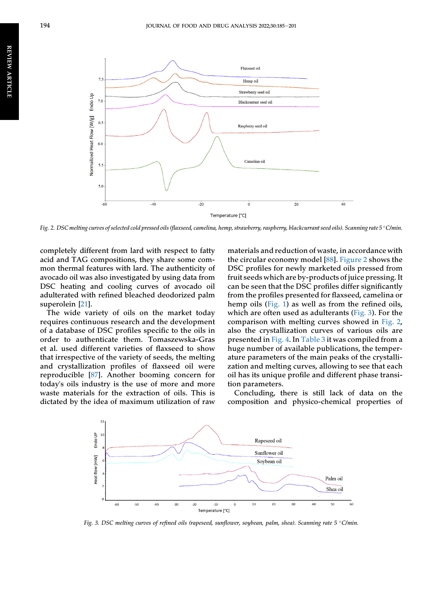<span id="page-10-0"></span>

Fig. 2. DSC melting curves of selected cold pressed oils (flaxseed, camelina, hemp, strawberry, raspberry, blackcurrant seed oils). Scanning rate 5 °C/min.

completely different from lard with respect to fatty acid and TAG compositions, they share some common thermal features with lard. The authenticity of avocado oil was also investigated by using data from DSC heating and cooling curves of avocado oil adulterated with refined bleached deodorized palm superolein [\[21](#page-15-12)].

The wide variety of oils on the market today requires continuous research and the development of a database of DSC profiles specific to the oils in order to authenticate them. Tomaszewska-Gras et al. used different varieties of flaxseed to show that irrespective of the variety of seeds, the melting and crystallization profiles of flaxseed oil were reproducible [[87](#page-17-13)]. Another booming concern for today's oils industry is the use of more and more waste materials for the extraction of oils. This is dictated by the idea of maximum utilization of raw

materials and reduction of waste, in accordance with the circular economy model [[88\]](#page-17-14). [Figure 2](#page-10-0) shows the DSC profiles for newly marketed oils pressed from fruit seeds which are by-products of juice pressing. It can be seen that the DSC profiles differ significantly from the profiles presented for flaxseed, camelina or hemp oils ([Fig. 1](#page-3-0)) as well as from the refined oils, which are often used as adulterants ([Fig. 3](#page-10-1)). For the comparison with melting curves showed in [Fig. 2,](#page-10-0) also the crystallization curves of various oils are presented in [Fig. 4.](#page-11-0) In [Table 3](#page-11-1) it was compiled from a huge number of available publications, the temperature parameters of the main peaks of the crystallization and melting curves, allowing to see that each oil has its unique profile and different phase transition parameters.

Concluding, there is still lack of data on the composition and physico-chemical properties of

<span id="page-10-1"></span>

Fig. 3. DSC melting curves of refined oils (rapeseed, sunflower, soybean, palm, shea). Scanning rate 5 C/min.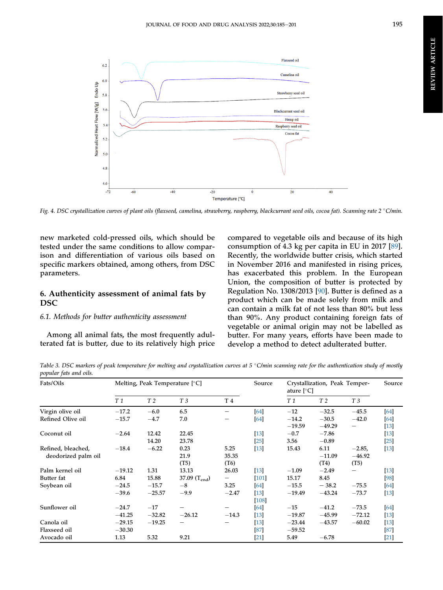<span id="page-11-0"></span>

Fig. 4. DSC crystallization curves of plant oils (flaxseed, camelina, strawberry, raspberry, blackcurrant seed oils, cocoa fat). Scanning rate 2 °C/min.

new marketed cold-pressed oils, which should be tested under the same conditions to allow comparison and differentiation of various oils based on specific markers obtained, among others, from DSC parameters.

# 6. Authenticity assessment of animal fats by DSC

#### 6.1. Methods for butter authenticity assessment

Among all animal fats, the most frequently adulterated fat is butter, due to its relatively high price compared to vegetable oils and because of its high consumption of 4.3 kg per capita in EU in 2017 [[89\]](#page-17-15). Recently, the worldwide butter crisis, which started in November 2016 and manifested in rising prices, has exacerbated this problem. In the European Union, the composition of butter is protected by Regulation No. 1308/2013 [\[90](#page-17-16)]. Butter is defined as a product which can be made solely from milk and can contain a milk fat of not less than 80% but less than 90%. Any product containing foreign fats of vegetable or animal origin may not be labelled as butter. For many years, efforts have been made to develop a method to detect adulterated butter.

<span id="page-11-1"></span>Table 3. DSC markers of peak temperature for melting and crystallization curves at  $5^{\circ}$ C/min scanning rate for the authentication study of mostly popular fats and oils.

| Fats/Oils           | Melting, Peak Temperature [°C] |                |                   |                          | Source  | Crystallization, Peak Temper-<br>ature $[^{\circ}C]$ |                |                | Source |
|---------------------|--------------------------------|----------------|-------------------|--------------------------|---------|------------------------------------------------------|----------------|----------------|--------|
|                     | T 1                            | T <sub>2</sub> | T <sub>3</sub>    | T 4                      |         | T 1                                                  | T <sub>2</sub> | T <sub>3</sub> |        |
| Virgin olive oil    | $-17.2$                        | $-6.0$         | 6.5               | $\overline{\phantom{a}}$ | [64]    | $-12$                                                | $-32.5$        | $-45.5$        | [64]   |
| Refined Olive oil   | $-15.7$                        | $-4.7$         | 7.0               |                          | [64]    | $-14.2$                                              | $-30.5$        | $-42.0$        | [64]   |
|                     |                                |                |                   |                          |         | $-19.59$                                             | $-49.29$       |                | $[13]$ |
| Coconut oil         | $-2.64$                        | 12.42          | 22.45             |                          | $[13]$  | $-0.7$                                               | $-7.86$        |                | $[13]$ |
|                     |                                | 14.20          | 23.78             |                          | [25]    | 3.56                                                 | $-0.89$        |                | $[25]$ |
| Refined, bleached,  | $-18.4$                        | $-6.22$        | 0.23              | 5.25                     | $[13]$  | 15.43                                                | 6.11           | $-2.85,$       | $[13]$ |
| deodorized palm oil |                                |                | 21.9              | 35.35                    |         |                                                      | $-11.09$       | $-46.92$       |        |
|                     |                                |                | (T5)              | (T6)                     |         |                                                      | (T4)           | (T5)           |        |
| Palm kernel oil     | $-19.12$                       | 1.31           | 13.13             | 26.03                    | $[13]$  | $-1.09$                                              | $-2.49$        |                | $[13]$ |
| Butter fat          | 6.84                           | 15.88          | 37.09 $(T_{end})$ |                          | $[101]$ | 15.17                                                | 8.45           |                | [98]   |
| Soybean oil         | $-24.5$                        | $-15.7$        | $-8$              | 3.25                     | [64]    | $-15.5$                                              | $-38.2$        | $-75.5$        | $[64]$ |
|                     | $-39.6$                        | $-25.57$       | $-9.9$            | $-2.47$                  | $[13]$  | $-19.49$                                             | $-43.24$       | $-73.7$        | $[13]$ |
|                     |                                |                |                   |                          | $[108]$ |                                                      |                |                |        |
| Sunflower oil       | $-24.7$                        | $-17$          |                   |                          | [64]    | $-15$                                                | $-41.2$        | $-73.5$        | 64     |
|                     | $-41.25$                       | $-32.82$       | $-26.12$          | $-14.3$                  | $[13]$  | $-19.87$                                             | $-45.99$       | $-72.12$       | $[13]$ |
| Canola oil          | $-29.15$                       | $-19.25$       |                   |                          | $[13]$  | $-23.44$                                             | $-43.57$       | $-60.02$       | $[13]$ |
| Flaxseed oil        | $-30.30$                       |                |                   |                          | [87]    | $-59.52$                                             |                |                | [87]   |
| Avocado oil         | 1.13                           | 5.32           | 9.21              |                          | $[21]$  | 5.49                                                 | $-6.78$        |                | $[21]$ |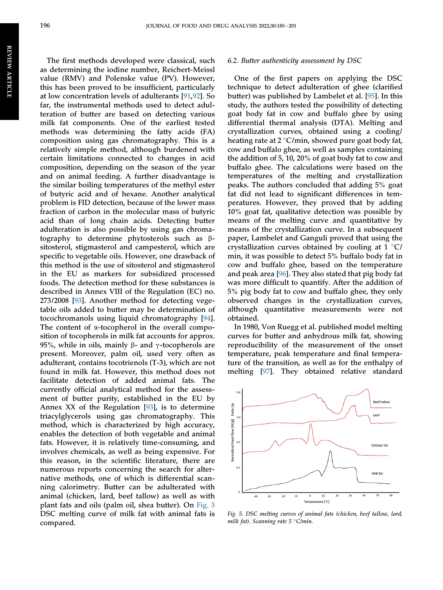The first methods developed were classical, such as determining the iodine number, Reichert-Meissl value (RMV) and Polenske value (PV). However, this has been proved to be insufficient, particularly at low concentration levels of adulterants [[91,](#page-17-20)[92](#page-17-21)]. So far, the instrumental methods used to detect adulteration of butter are based on detecting various milk fat components. One of the earliest tested methods was determining the fatty acids (FA) composition using gas chromatography. This is a relatively simple method, although burdened with certain limitations connected to changes in acid composition, depending on the season of the year and on animal feeding. A further disadvantage is the similar boiling temperatures of the methyl ester of butyric acid and of hexane. Another analytical problem is FID detection, because of the lower mass fraction of carbon in the molecular mass of butyric acid than of long chain acids. Detecting butter adulteration is also possible by using gas chromatography to determine phytosterols such as bsitosterol, stigmasterol and campesterol, which are specific to vegetable oils. However, one drawback of this method is the use of sitosterol and stigmasterol in the EU as markers for subsidized processed foods. The detection method for these substances is described in Annex VIII of the Regulation (EC) no. 273/2008 [\[93](#page-17-22)]. Another method for detecting vegetable oils added to butter may be determination of tocochromanols using liquid chromatography [\[94](#page-17-23)]. The content of  $\alpha$ -tocopherol in the overall composition of tocopherols in milk fat accounts for approx. 95%, while in oils, mainly  $\beta$ - and  $\gamma$ -tocopherols are present. Moreover, palm oil, used very often as adulterant, contains tocotrienols (T-3), which are not found in milk fat. However, this method does not facilitate detection of added animal fats. The currently official analytical method for the assessment of butter purity, established in the EU by Annex XX of the Regulation [\[93](#page-17-22)], is to determine triacylglycerols using gas chromatography. This method, which is characterized by high accuracy, enables the detection of both vegetable and animal fats. However, it is relatively time-consuming, and involves chemicals, as well as being expensive. For this reason, in the scientific literature, there are numerous reports concerning the search for alternative methods, one of which is differential scanning calorimetry. Butter can be adulterated with animal (chicken, lard, beef tallow) as well as with plant fats and oils (palm oil, shea butter). On [Fig. 3](#page-10-1) DSC melting curve of milk fat with animal fats is compared.

#### 6.2. Butter authenticity assessment by DSC

One of the first papers on applying the DSC technique to detect adulteration of ghee (clarified butter) was published by Lambelet et al. [\[95](#page-17-24)]. In this study, the authors tested the possibility of detecting goat body fat in cow and buffalo ghee by using differential thermal analysis (DTA). Melting and crystallization curves, obtained using a cooling/ heating rate at  $2^{\circ}$ C/min, showed pure goat body fat, cow and buffalo ghee, as well as samples containing the addition of 5, 10, 20% of goat body fat to cow and buffalo ghee. The calculations were based on the temperatures of the melting and crystallization peaks. The authors concluded that adding 5% goat fat did not lead to significant differences in temperatures. However, they proved that by adding 10% goat fat, qualitative detection was possible by means of the melting curve and quantitative by means of the crystallization curve. In a subsequent paper, Lambelet and Ganguli proved that using the crystallization curves obtained by cooling at  $1 \degree C$ / min, it was possible to detect 5% buffalo body fat in cow and buffalo ghee, based on the temperature and peak area [[96\]](#page-17-25). They also stated that pig body fat was more difficult to quantify. After the addition of 5% pig body fat to cow and buffalo ghee, they only observed changes in the crystallization curves, although quantitative measurements were not obtained.

In 1980, Von Ruegg et al. published model melting curves for butter and anhydrous milk fat, showing reproducibility of the measurement of the onset temperature, peak temperature and final temperature of the transition, as well as for the enthalpy of melting [\[97](#page-17-26)]. They obtained relative standard

<span id="page-12-0"></span>

Fig. 5. DSC melting curves of animal fats (chicken, beef tallow, lard, milk fat). Scanning rate  $5 \degree$ C/min.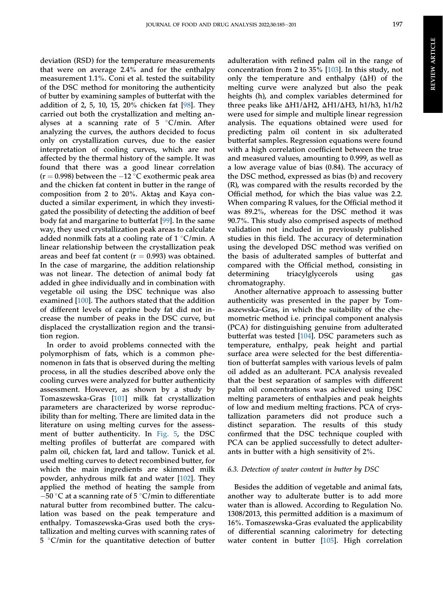REVIEW ARTICLE

**REVIEW ARTICLE** 

deviation (RSD) for the temperature measurements that were on average 2.4% and for the enthalpy measurement 1.1%. Coni et al. tested the suitability of the DSC method for monitoring the authenticity of butter by examining samples of butterfat with the addition of 2, 5, 10, 15, 20% chicken fat [[98\]](#page-17-18). They carried out both the crystallization and melting analyses at a scanning rate of  $5 °C/min$ . After analyzing the curves, the authors decided to focus only on crystallization curves, due to the easier interpretation of cooling curves, which are not affected by the thermal history of the sample. It was found that there was a good linear correlation  $(r = 0.998)$  between the  $-12$  °C exothermic peak area and the chicken fat content in butter in the range of composition from 2 to 20%. Aktas and Kaya conducted a similar experiment, in which they investigated the possibility of detecting the addition of beef body fat and margarine to butterfat [\[99](#page-17-27)]. In the same way, they used crystallization peak areas to calculate added nonmilk fats at a cooling rate of  $1 \degree C/min$ . A linear relationship between the crystallization peak areas and beef fat content ( $r = 0.993$ ) was obtained. In the case of margarine, the addition relationship was not linear. The detection of animal body fat added in ghee individually and in combination with vegetable oil using the DSC technique was also examined [\[100\]](#page-17-28). The authors stated that the addition of different levels of caprine body fat did not increase the number of peaks in the DSC curve, but displaced the crystallization region and the transition region.

In order to avoid problems connected with the polymorphism of fats, which is a common phenomenon in fats that is observed during the melting process, in all the studies described above only the cooling curves were analyzed for butter authenticity assessment. However, as shown by a study by Tomaszewska-Gras [\[101](#page-17-17)] milk fat crystallization parameters are characterized by worse reproducibility than for melting. There are limited data in the literature on using melting curves for the assessment of butter authenticity. In [Fig. 5,](#page-12-0) the DSC melting profiles of butterfat are compared with palm oil, chicken fat, lard and tallow. Tunick et al. used melting curves to detect recombined butter, for which the main ingredients are skimmed milk powder, anhydrous milk fat and water [[102\]](#page-17-29). They applied the method of heating the sample from  $-50$  °C at a scanning rate of 5 °C/min to differentiate natural butter from recombined butter. The calculation was based on the peak temperature and enthalpy. Tomaszewska-Gras used both the crystallization and melting curves with scanning rates of  $5 °C/min$  for the quantitative detection of butter

adulteration with refined palm oil in the range of concentration from 2 to 35% [[103\]](#page-17-30). In this study, not only the temperature and enthalpy  $(\Delta H)$  of the melting curve were analyzed but also the peak heights (h), and complex variables determined for three peaks like  $\Delta H1/\Delta H2$ ,  $\Delta H1/\Delta H3$ , h1/h3, h1/h2 were used for simple and multiple linear regression analysis. The equations obtained were used for predicting palm oil content in six adulterated butterfat samples. Regression equations were found with a high correlation coefficient between the true and measured values, amounting to 0.999, as well as a low average value of bias (0.84). The accuracy of the DSC method, expressed as bias (b) and recovery (R), was compared with the results recorded by the Official method, for which the bias value was 2.2. When comparing R values, for the Official method it was 89.2%, whereas for the DSC method it was 90.7%. This study also comprised aspects of method validation not included in previously published studies in this field. The accuracy of determination using the developed DSC method was verified on the basis of adulterated samples of butterfat and compared with the Official method, consisting in determining triacylglycerols using gas chromatography.

Another alternative approach to assessing butter authenticity was presented in the paper by Tomaszewska-Gras, in which the suitability of the chemometric method i.e. principal component analysis (PCA) for distinguishing genuine from adulterated butterfat was tested [[104\]](#page-17-31). DSC parameters such as temperature, enthalpy, peak height and partial surface area were selected for the best differentiation of butterfat samples with various levels of palm oil added as an adulterant. PCA analysis revealed that the best separation of samples with different palm oil concentrations was achieved using DSC melting parameters of enthalpies and peak heights of low and medium melting fractions. PCA of crystallization parameters did not produce such a distinct separation. The results of this study confirmed that the DSC technique coupled with PCA can be applied successfully to detect adulterants in butter with a high sensitivity of 2%.

#### 6.3. Detection of water content in butter by DSC

Besides the addition of vegetable and animal fats, another way to adulterate butter is to add more water than is allowed. According to Regulation No. 1308/2013, this permitted addition is a maximum of 16%. Tomaszewska-Gras evaluated the applicability of differential scanning calorimetry for detecting water content in butter [\[105](#page-17-32)]. High correlation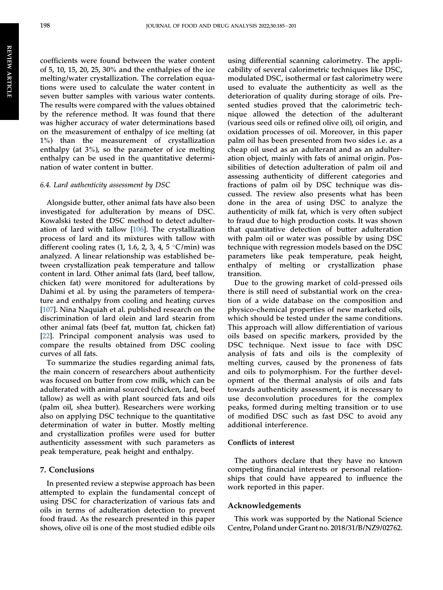coefficients were found between the water content of 5, 10, 15, 20, 25, 30% and the enthalpies of the ice melting/water crystallization. The correlation equations were used to calculate the water content in seven butter samples with various water contents. The results were compared with the values obtained by the reference method. It was found that there was higher accuracy of water determinations based on the measurement of enthalpy of ice melting (at 1%) than the measurement of crystallization enthalpy (at 3%), so the parameter of ice melting enthalpy can be used in the quantitative determination of water content in butter.

#### 6.4. Lard authenticity assessment by DSC

Alongside butter, other animal fats have also been investigated for adulteration by means of DSC. Kowalski tested the DSC method to detect adulteration of lard with tallow [\[106](#page-17-33)]. The crystallization process of lard and its mixtures with tallow with different cooling rates (1, 1.6, 2, 3, 4, 5  $\degree$ C/min) was analyzed. A linear relationship was established between crystallization peak temperature and tallow content in lard. Other animal fats (lard, beef tallow, chicken fat) were monitored for adulterations by Dahimi et al. by using the parameters of temperature and enthalpy from cooling and heating curves [\[107](#page-17-34)]. Nina Naquiah et al. published research on the discrimination of lard olein and lard stearin from other animal fats (beef fat, mutton fat, chicken fat) [\[22](#page-15-29)]. Principal component analysis was used to compare the results obtained from DSC cooling curves of all fats.

To summarize the studies regarding animal fats, the main concern of researchers about authenticity was focused on butter from cow milk, which can be adulterated with animal sourced (chicken, lard, beef tallow) as well as with plant sourced fats and oils (palm oil, shea butter). Researchers were working also on applying DSC technique to the quantitative determination of water in butter. Mostly melting and crystallization profiles were used for butter authenticity assessment with such parameters as peak temperature, peak height and enthalpy.

#### 7. Conclusions

In presented review a stepwise approach has been attempted to explain the fundamental concept of using DSC for characterization of various fats and oils in terms of adulteration detection to prevent food fraud. As the research presented in this paper shows, olive oil is one of the most studied edible oils

using differential scanning calorimetry. The applicability of several calorimetric techniques like DSC, modulated DSC, isothermal or fast calorimetry were used to evaluate the authenticity as well as the deterioration of quality during storage of oils. Presented studies proved that the calorimetric technique allowed the detection of the adulterant (various seed oils or refined olive oil), oil origin, and oxidation processes of oil. Moreover, in this paper palm oil has been presented from two sides i.e. as a cheap oil used as an adulterant and as an adulteration object, mainly with fats of animal origin. Possibilities of detection adulteration of palm oil and assessing authenticity of different categories and fractions of palm oil by DSC technique was discussed. The review also presents what has been done in the area of using DSC to analyze the authenticity of milk fat, which is very often subject to fraud due to high production costs. It was shown that quantitative detection of butter adulteration with palm oil or water was possible by using DSC technique with regression models based on the DSC parameters like peak temperature, peak height, enthalpy of melting or crystallization phase transition.

Due to the growing market of cold-pressed oils there is still need of substantial work on the creation of a wide database on the composition and physico-chemical properties of new marketed oils, which should be tested under the same conditions. This approach will allow differentiation of various oils based on specific markers, provided by the DSC technique. Next issue to face with DSC analysis of fats and oils is the complexity of melting curves, caused by the proneness of fats and oils to polymorphism. For the further development of the thermal analysis of oils and fats towards authenticity assessment, it is necessary to use deconvolution procedures for the complex peaks, formed during melting transition or to use of modified DSC such as fast DSC to avoid any additional interference.

#### Conflicts of interest

The authors declare that they have no known competing financial interests or personal relationships that could have appeared to influence the work reported in this paper.

#### Acknowledgements

This work was supported by the National Science Centre, Poland under Grant no. 2018/31/B/NZ9/02762.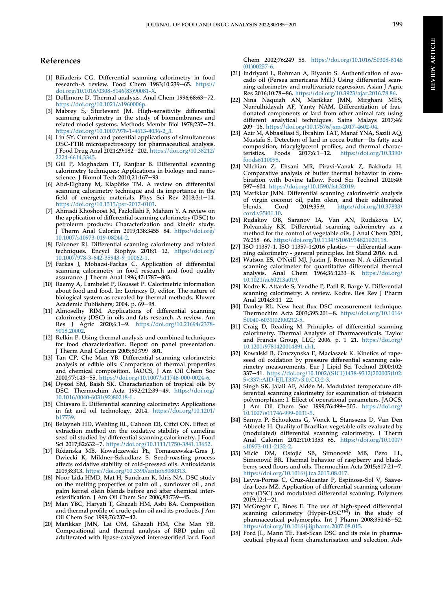#### References

- <span id="page-15-0"></span>[1] Biliaderis CG. Differential scanning calorimetry in food research-A review. Food Chem  $1983;10:239-65$ . [https://](https://doi.org/10.1016/0308-8146(83)90081-X) [doi.org/10.1016/0308-8146\(83\)90081-X.](https://doi.org/10.1016/0308-8146(83)90081-X)
- <span id="page-15-1"></span>[2] Dollimore D. Thermal analysis. Anal Chem  $1996;68:63-72$ . <https://doi.org/10.1021/a1960006p>.
- <span id="page-15-2"></span>[3] Mabrey S, Sturtevant JM. High-sensitivity differential scanning calorimetry in the study of biomembranes and related model systems. Methods Membr Biol 1978;237-74. [https://doi.org/10.1007/978-1-4613-4036-2\\_3.](https://doi.org/10.1007/978-1-4613-4036-2_3)
- <span id="page-15-3"></span>[4] Lin SY. Current and potential applications of simultaneous DSC-FTIR microspectroscopy for pharmaceutical analysis. J Food Drug Anal 2021;29:182-202. [https://doi.org/10.38212/](https://doi.org/10.38212/2224-6614.3345) [2224-6614.3345.](https://doi.org/10.38212/2224-6614.3345)
- <span id="page-15-4"></span>[5] Gill P, Moghadam TT, Ranjbar B. Differential scanning calorimetry techniques: Applications in biology and nanoscience. J Biomol Tech 2010;21:167-93.
- <span id="page-15-5"></span>[6] Abd-Elghany M, Klapötke TM. A review on differential scanning calorimetry technique and its importance in the field of energetic materials. Phys Sci Rev 2018;3:1-14. <https://doi.org/10.1515/psr-2017-0103>.
- <span id="page-15-6"></span>[7] Ahmadi Khoshooei M, Fazlollahi F, Maham Y. A review on the application of differential scanning calorimetry (DSC) to petroleum products: Characterization and kinetic study.  $\overrightarrow{l}$  Therm Anal Calorim 2019;138:3455-84. [https://doi.org/](https://doi.org/10.1007/s10973-019-08244-2) [10.1007/s10973-019-08244-2](https://doi.org/10.1007/s10973-019-08244-2).
- <span id="page-15-7"></span>[8] Falconer RJ. Differential scanning calorimetry and related techniques. Encycl Biophys 2018;1-12. [https://doi.org/](https://doi.org/10.1007/978-3-642-35943-9_10062-1) [10.1007/978-3-642-35943-9\\_10062-1.](https://doi.org/10.1007/978-3-642-35943-9_10062-1)
- <span id="page-15-8"></span>[9] Farkas J, Mohacsi-Farkas C. Application of differential scanning calorimetry in food research and food quality assurance. J Therm Anal 1996;47:1787-803.
- [10] Raemy A, Lambelet P, Rousset P. Calorimetric information about food and food. In: Lörinczy D, editor. The nature of biological system as revealed by thermal methods. Kluwer Academic Publishers; 2004. p. 69-98.
- [11] Almoselhy RIM. Applications of differential scanning calorimetry (DSC) in oils and fats research. A review. Am Res J Agric 2020;6:1-9. [https://doi.org/10.21694/2378-](https://doi.org/10.21694/2378-9018.20002) [9018.20002.](https://doi.org/10.21694/2378-9018.20002)
- [12] Relkin P. Using thermal analysis and combined techniques for food characterization. Report on panel presentation. J Therm Anal Calorim 2005;80:799-801.
- <span id="page-15-9"></span>[13] Tan CP, Che Man YB. Differential scanning calorimetric analysis of edible oils: Comparison of thermal properties and chemical composition. JAOCS, J Am Oil Chem Soc 2000;77:143-55. <https://doi.org/10.1007/s11746-000-0024-6>.
- <span id="page-15-10"></span>[14] Dyszel SM, Baish SK. Characterization of tropical oils by DSC. Thermochim Acta 1992;212:39-49. [https://doi.org/](https://doi.org/10.1016/0040-6031(92)80218-L) [10.1016/0040-6031\(92\)80218-L](https://doi.org/10.1016/0040-6031(92)80218-L).
- <span id="page-15-11"></span>[15] Chiavaro E. Differential scanning calorimetry: Applications in fat and oil technology. 2014. [https://doi.org/10.1201/](https://doi.org/10.1201/b17739) [b17739](https://doi.org/10.1201/b17739).
- [16] Belayneh HD, Wehling RL, Cahoon EB, Ciftci ON. Effect of extraction method on the oxidative stability of camelina seed oil studied by differential scanning calorimetry. J Food Sci 2017;82:632-7. [https://doi.org/10.1111/1750-3841.13652.](https://doi.org/10.1111/1750-3841.13652)
- [17] Różańska MB, Kowalczewski PŁ, Tomaszewska-Gras J, Dwiecki K, Mildner-Szkudlarz S. Seed-roasting process affects oxidative stability of cold-pressed oils. Antioxidants 2019;8:313. [https://doi.org/10.3390/antiox8080313.](https://doi.org/10.3390/antiox8080313)
- <span id="page-15-26"></span>[18] Noor Lida HMD, Mat H, Sundram K, Idris NA. DSC study on the melting properties of palm oil , sunflower oil , and palm kernel olein blends before and after chemical interesterification. J Am Oil Chem Soc 2006;83:739-45.
- [19] Man YBC, Haryati T, Ghazali HM, Asbi BA. Composition and thermal profile of crude palm oil and its products. J Am Oil Chem Soc 1999;76:237-42.
- <span id="page-15-25"></span>[20] Marikkar JMN, Lai OM, Ghazali HM, Che Man YB. Compositional and thermal analysis of RBD palm oil adulterated with lipase-catalyzed interesterified lard. Food

Chem 2002;76:249-58. [https://doi.org/10.1016/S0308-8146](https://doi.org/10.1016/S0308-8146(01)00257-6) [\(01\)00257-6](https://doi.org/10.1016/S0308-8146(01)00257-6).

- <span id="page-15-12"></span>[21] Indriyani L, Rohman A, Riyanto S. Authentication of avocado oil (Persea americana Mill.) Using differential scanning calorimetry and multivariate regression. Asian J Agric Res 2016;10:78-86. <https://doi.org/10.3923/ajar.2016.78.86>.
- <span id="page-15-29"></span>[22] Nina Naquiah AN, Marikkar JMN, Mirghani MES, Nurrulhidayah AF, Yanty NAM. Differentiation of fractionated components of lard from other animal fats using different analytical techniques. Sains Malays 2017;46: 209-16. <https://doi.org/10.17576/jsm-2017-4602-04>.
- <span id="page-15-27"></span>[23] Azir M, Abbasiliasi S, Ibrahim TAT, Manaf YNA, Sazili AQ, Mustafa S. Detection of lard in cocoa butter-Its fatty acid composition, triacylglycerol profiles, and thermal charac-<br>teristics. Foods 2017;6:1-12. https://doi.org/10.3390/  $2017; 6:1-12.$  [https://doi.org/10.3390/](https://doi.org/10.3390/foods6110098) [foods6110098.](https://doi.org/10.3390/foods6110098)
- [24] Nilchian Z, Ehsani MR, Piravi-Vanak Z, Bakhoda H. Comparative analysis of butter thermal behavior in combination with bovine tallow. Food Sci Technol 2020;40: 597-604. [https://doi.org/10.1590/fst.32019.](https://doi.org/10.1590/fst.32019)
- <span id="page-15-28"></span>[25] Marikkar JMN. Differential scanning calorimetric analysis of virgin coconut oil, palm olein, and their adulterated<br>blends. Cord 2019:35:9. https://doi.org/10.37833/ [https://doi.org/10.37833/](https://doi.org/10.37833/cord.v35i01.10) [cord.v35i01.10.](https://doi.org/10.37833/cord.v35i01.10)
- [26] Rudakov OB, Saranov IA, Van AN, Rudakova LV, Polyanskiy KK. Differential scanning calorimetry as a method for the control of vegetable oils. J Anal Chem 2021; 76:258-66. [https://doi.org/10.1134/S1061934821020118.](https://doi.org/10.1134/S1061934821020118)
- <span id="page-15-13"></span>[27] ISO 11357-1. ISO 11357-1:2016 plastics  $-$  differential scanning calorimetry - general principles. Int Stand 2016. n.d.
- <span id="page-15-14"></span>[28] Watson ES, O'Neill MJ, Justin J, Brenner N. A differential scanning calorimeter for quantitative differential thermal analysis. Anal Chem  $1964;36:1233-8$ . [https://doi.org/](https://doi.org/10.1021/ac60213a019) [10.1021/ac60213a019.](https://doi.org/10.1021/ac60213a019)
- <span id="page-15-15"></span>[29] Kodre K, Attarde S, Yendhe P, Patil R, Barge V. Differential scanning calorimetry: A review. Kodre. Res Rev J Pharm Anal 2014;3:11-22.
- <span id="page-15-16"></span>[30] Danley RL. New heat flux DSC measurement technique. Thermochim Acta 2003;395:201-8. [https://doi.org/10.1016/](https://doi.org/10.1016/S0040-6031(02)00212-5) [S0040-6031\(02\)00212-5.](https://doi.org/10.1016/S0040-6031(02)00212-5)
- <span id="page-15-17"></span>[31] Craig D, Reading M. Principles of differential scanning calorimetry. Thermal Analysis of Pharmaceuticals. Taylor and Francis Group, LLC; 2006. p.  $1-21$ . [https://doi.org/](https://doi.org/10.1201/9781420014891.ch1) [10.1201/9781420014891.ch1](https://doi.org/10.1201/9781420014891.ch1).
- <span id="page-15-18"></span>[32] Kowalski B, Gruczynska E, Maciaszek K. Kinetics of rapeseed oil oxidation by pressure differential scanning calorimetry measurements. Eur J Lipid Sci Technol 2000;102: 337-41. [https://doi.org/10.1002/\(SICI\)1438-9312\(200005\)102:](https://doi.org/10.1002/(SICI)1438-9312(200005)102:5<337::AID-EJLT337>3.0.CO;2-3) 5<[337::AID-EJLT337](https://doi.org/10.1002/(SICI)1438-9312(200005)102:5<337::AID-EJLT337>3.0.CO;2-3)>3.0.CO;2-3.
- <span id="page-15-19"></span>[33] Singh SK, Jalali AF, Aldén M. Modulated temperature differential scanning calorimetry for examination of tristearin polymorphism: I. Effect of operational parameters. JAOCS, J Am Oil Chem Soc 1999;76:499-505. [https://doi.org/](https://doi.org/10.1007/s11746-999-0031-5) [10.1007/s11746-999-0031-5](https://doi.org/10.1007/s11746-999-0031-5).
- <span id="page-15-20"></span>[34] Samyn P, Schoukens G, Vonck L, Stanssens D, Van Den Abbeele H. Quality of Brazilian vegetable oils evaluated by (modulated) differential scanning calorimetry. J Therm<br>Anal Calorim 2012;110:1353–65. [https://doi.org/10.1007/](https://doi.org/10.1007/s10973-011-2132-2) [s10973-011-2132-2.](https://doi.org/10.1007/s10973-011-2132-2)
- <span id="page-15-21"></span>[35] Micic DM, Ostojic SB, Simonovic MB, Pezo LL, Simonovic BR. Thermal behavior of raspberry and blackberry seed flours and oils. Thermochim Acta 2015;617:21-7. <https://doi.org/10.1016/j.tca.2015.08.017>.
- <span id="page-15-22"></span>[36] Leyva-Porras C, Cruz-Alcantar P, Espinosa-Sol V, Saavedra-Leos MZ. Application of differential scanning calorimetry (DSC) and modulated differential scanning. Polymers 2019;12:1-21.
- <span id="page-15-23"></span>[37] McGregor C, Bines E. The use of high-speed differential scanning calorimetry (Hyper-DSC<sup>TM</sup>) in the study of pharmaceutical polymorphs. Int J Pharm 2008;350:48-52. <https://doi.org/10.1016/j.ijpharm.2007.08.015>.
- <span id="page-15-24"></span>[38] Ford JL, Mann TE. Fast-Scan DSC and its role in pharmaceutical physical form characterisation and selection. Adv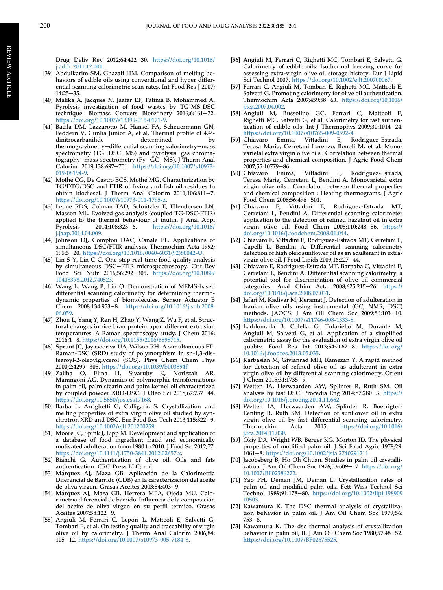Drug Deliv Rev 2012;64:422-30. [https://doi.org/10.1016/](https://doi.org/10.1016/j.addr.2011.12.001) [j.addr.2011.12.001.](https://doi.org/10.1016/j.addr.2011.12.001)

- <span id="page-16-0"></span>[39] Abdulkarim SM, Ghazali HM. Comparison of melting behaviors of edible oils using conventional and hyper differential scanning calorimetric scan rates. Int Food Res J 2007;  $14:25 - 35.$
- <span id="page-16-1"></span>[40] Malika A, Jacques N, Jaafar EF, Fatima B, Mohammed A. Pyrolysis investigation of food wastes by TG-MS-DSC technique. Biomass Convers Biorefinery 2016;6:161-72. [https://doi.org/10.1007/s13399-015-0171-9.](https://doi.org/10.1007/s13399-015-0171-9)
- <span id="page-16-2"></span>[41] Bacila DM, Lazzarotto M, Hansel FA, Scheuermann GN, Feddern V, Cunha Junior A, et al. Thermal profile of 4,4'dinitrocarbanilide determined by thermogravimetry-differential scanning calorimetry-mass spectrometry (TG-DSC-MS) and pyrolysis-gas chromatography-mass spectrometry (Py- $\vec{GC}-\vec{MS}$ ). J Therm Anal Calorim 2019;138:697-701. [https://doi.org/10.1007/s10973-](https://doi.org/10.1007/s10973-019-08194-9) [019-08194-9.](https://doi.org/10.1007/s10973-019-08194-9)
- <span id="page-16-3"></span>[42] Mothé CG, De Castro BCS, Mothé MG. Characterization by TG/DTG/DSC and FTIR of frying and fish oil residues to obtain biodiesel. J Therm Anal Calorim  $2011;106:811-7$ . [https://doi.org/10.1007/s10973-011-1795-z.](https://doi.org/10.1007/s10973-011-1795-z)
- <span id="page-16-4"></span>[43] Leone RDS, Colman TAD, Schnitzler E, Ellendersen LN, Masson ML. Evolved gas analysis (coupled TG-DSC-FTIR) applied to the thermal behaviour of inulin. J Anal Appl<br>Pyrolysis 2014;108:323-6. https://doi.org/10.1016/ [https://doi.org/10.1016/](https://doi.org/10.1016/j.jaap.2014.04.009) [j.jaap.2014.04.009.](https://doi.org/10.1016/j.jaap.2014.04.009)
- <span id="page-16-5"></span>[44] Johnson DJ, Compton DAC, Canale PL. Applications of simultaneous DSC/FTIR analysis. Thermochim Acta 1992; 195:5e20. [https://doi.org/10.1016/0040-6031\(92\)80042-U](https://doi.org/10.1016/0040-6031(92)80042-U).
- <span id="page-16-6"></span>[45] Lin S-Y, Lin C-C. One-step real-time food quality analysis by simultaneous DSCeFTIR microspectroscopy. Crit Rev Food Sci Nutr 2016;56:292-305. [https://doi.org/10.1080/](https://doi.org/10.1080/10408398.2012.740523) [10408398.2012.740523](https://doi.org/10.1080/10408398.2012.740523).
- <span id="page-16-7"></span>[46] Wang L, Wang B, Lin Q. Demonstration of MEMS-based differential scanning calorimetry for determining thermodynamic properties of biomolecules. Sensor Actuator B Chem 2008;134:953-8. [https://doi.org/10.1016/j.snb.2008.](https://doi.org/10.1016/j.snb.2008.06.059) [06.059.](https://doi.org/10.1016/j.snb.2008.06.059)
- <span id="page-16-8"></span>[47] Zhou L, Yang Y, Ren H, Zhao Y, Wang Z, Wu F, et al. Structural changes in rice bran protein upon different extrusion temperatures: A Raman spectroscopy study. J Chem 2016; 2016:1e8. <https://doi.org/10.1155/2016/6898715>.
- <span id="page-16-9"></span>[48] Sprunt JC, Jayasooriya UA, Wilson RH. A simultaneous FT-Raman-DSC (SRD) study of polymorphism in sn-1,3-distearoyl-2-oleoylglycerol (SOS). Phys Chem Chem Phys 2000;2:4299-305. <https://doi.org/10.1039/b003894f>.
- <span id="page-16-10"></span>[49] Zaliha O, Elina H, Sivaruby K, Norizzah AR, Marangoni AG. Dynamics of polymorphic transformations in palm oil, palm stearin and palm kernel oil characterized by coupled powder XRD-DSC. J Oleo Sci 2018;67:737-44. [https://doi.org/10.5650/jos.ess17168.](https://doi.org/10.5650/jos.ess17168)
- <span id="page-16-11"></span>[50] Barba L, Arrighetti G, Calligaris S. Crystallization and melting properties of extra virgin olive oil studied by synchrotron XRD and DSC. Eur Food Res Tech 2013;115:322-9. <https://doi.org/10.1002/ejlt.201200259>.
- <span id="page-16-12"></span>[51] Moore JC, Spink J, Lipp M. Development and application of a database of food ingredient fraud and economically motivated adulteration from 1980 to 2010. J Food Sci 2012;77. <https://doi.org/10.1111/j.1750-3841.2012.02657.x>.
- <span id="page-16-13"></span>[52] Bianchi G. Authentication of olive oil. Oils and fats authentication. CRC Press LLC; n.d.
- <span id="page-16-14"></span>[53] Márquez AJ, Maza GB. Aplicación de la Calorimetria Diferencial de Barrido (CDB) en la caracterizacion del aceite de oliva virgen. Grasas Aceites 2003;54:403-9.
- <span id="page-16-15"></span>[54] Marquez AJ, Maza GB, Herrera MPA, Ojeda MU. Calo rimetría diferencial de barrido. Influencia de la composicion del aceite de oliva virgen en su perfil térmico. Grasas Aceites 2007;58:122-9.
- <span id="page-16-16"></span>[55] Angiuli M, Ferrari C, Lepori L, Matteoli E, Salvetti G, Tombari E, et al. On testing quality and traceability of virgin olive oil by calorimetry. J Therm Anal Calorim 2006;84: 105e12. <https://doi.org/10.1007/s10973-005-7184-8>.
- <span id="page-16-17"></span>[56] Angiuli M, Ferrari C, Righetti MC, Tombari E, Salvetti G. Calorimetry of edible oils: Isothermal freezing curve for assessing extra-virgin olive oil storage history. Eur J Lipid Sci Technol 2007. <https://doi.org/10.1002/ejlt.200700067>.
- <span id="page-16-18"></span>[57] Ferrari C, Angiuli M, Tombari E, Righetti MC, Matteoli E, Salvetti G. Promoting calorimetry for olive oil authentication. Thermochim Acta 2007;459:58-63. [https://doi.org/10.1016/](https://doi.org/10.1016/j.tca.2007.04.002) [j.tca.2007.04.002.](https://doi.org/10.1016/j.tca.2007.04.002)
- <span id="page-16-19"></span>[58] Angiuli M, Bussolino GC, Ferrari C, Matteoli E, Righetti MC, Salvetti G, et al. Calorimetry for fast authentication of edible oils. Int J Thermophys  $2009;30:1014-24$ . <https://doi.org/10.1007/s10765-009-0592-4>.<br>[59] Chiavaro Emma, Vittadini E, R
- <span id="page-16-20"></span>Vittadini E, Rodriguez-Estrada, Teresa Maria, Cerretani Lorenzo, Bonoli M, et al. Monovarietal extra virgin olive oils : Correlation between thermal properties and chemical composition. J Agric Food Chem 2007;55:10779-86.
- <span id="page-16-21"></span>[60] Chiavaro Emma, Vittadini E, Rodriguez-Estrada, Teresa Maria, Cerretani L, Bendini A. Monovarietal extra virgin olive oils . Correlation between thermal properties and chemical composition : Heating thermograms. J Agric Food Chem 2008;56:496-501.
- <span id="page-16-22"></span>[61] Chiavaro E, Vittadini E, Rodriguez-Estrada MT, Cerretani L, Bendini A. Differential scanning calorimeter application to the detection of refined hazelnut oil in extra virgin olive oil. Food Chem  $2008;110:248-56$ . [https://](https://doi.org/10.1016/j.foodchem.2008.01.044) [doi.org/10.1016/j.foodchem.2008.01.044](https://doi.org/10.1016/j.foodchem.2008.01.044).
- <span id="page-16-23"></span>[62] Chiavaro E, Vittadini E, Rodriguez-Estrada MT, Cerretani L, Capelli L, Bendini A. Differential scanning calorimetry detection of high oleic sunflower oil as an adulterant in extravirgin olive oil. J Food Lipids 2009;16:227-44.
- <span id="page-16-24"></span>[63] Chiavaro E, Rodriguez-Estrada MT, Barnaba C, Vittadini E, Cerretani L, Bendini A. Differential scanning calorimetry: a potential tool for discrimination of olive oil commercial categories. Anal Chim Acta 2008;625:215-26. [https://](https://doi.org/10.1016/j.aca.2008.07.031) [doi.org/10.1016/j.aca.2008.07.031](https://doi.org/10.1016/j.aca.2008.07.031).
- <span id="page-16-25"></span>[64] Jafari M, Kadivar M, Keramat J. Detection of adulteration in Iranian olive oils using instrumental (GC, NMR, DSC) methods. JAOCS. J Am Oil Chem Soc 2009;86:103-10. <https://doi.org/10.1007/s11746-008-1333-8>.
- <span id="page-16-26"></span>[65] Laddomada B, Colella G, Tufariello M, Durante M, Angiuli M, Salvetti G, et al. Application of a simplified calorimetric assay for the evaluation of extra virgin olive oil quality. Food Res Int 2013;54:2062-8. [https://doi.org/](https://doi.org/10.1016/j.foodres.2013.05.035) [10.1016/j.foodres.2013.05.035.](https://doi.org/10.1016/j.foodres.2013.05.035)
- <span id="page-16-27"></span>[66] Karbasian M, Givianrad MH, Ramezan Y. A rapid method for detection of refined olive oil as adulterant in extra virgin olive oil by differential scanning calorimetry. Orient J Chem 2015;31:1735-9.
- <span id="page-16-29"></span>[67] Wetten IA, Herwaarden AW, Splinter R, Ruth SM. Oil analysis by fast DSC. Procedia Eng  $2014;87:280-3$ . [https://](https://doi.org/10.1016/j.proeng.2014.11.662) [doi.org/10.1016/j.proeng.2014.11.662](https://doi.org/10.1016/j.proeng.2014.11.662).
- <span id="page-16-28"></span>[68] Wetten IA, Herwaarden AW, Splinter R, Boerrigter-Eenling R, Ruth SM. Detection of sunflower oil in extra virgin olive oil by fast differential scanning calorimetry.<br>Thermochim Acta 2015. https://doi.org/10.1016/ [https://doi.org/10.1016/](https://doi.org/10.1016/j.tca.2014.11.030) [j.tca.2014.11.030](https://doi.org/10.1016/j.tca.2014.11.030).
- <span id="page-16-30"></span>[69] Okiy DA, Wright WB, Berger KG, Morton ID. The physical properties of modified palm oil. J Sci Food Agric 1978;29: 1061e8. <https://doi.org/10.1002/jsfa.2740291211>.
- [70] Jacobsberg B, Ho Oh Chuan. Studies in palm oil crystallization. J Am Oil Chem Soc 1976;53:609-17. [https://doi.org/](https://doi.org/10.1007/BF02586272) [10.1007/BF02586272](https://doi.org/10.1007/BF02586272).
- <span id="page-16-33"></span>[71] Yap PH, Deman JM, Deman L. Crystallization rates of palm oil and modified palm oils. Fett Wiss Technol Sci Technol 1989;91:178-80. [https://doi.org/10.1002/lipi.198909](https://doi.org/10.1002/lipi.19890910503) [10503](https://doi.org/10.1002/lipi.19890910503).
- <span id="page-16-31"></span>[72] Kawamura K. The DSC thermal analysis of crystallization behavior in palm oil. J Am Oil Chem Soc 1979;56:  $753 - 8.$
- <span id="page-16-32"></span>[73] Kawamura K. The dsc thermal analysis of crystallization behavior in palm oil, II. J Am Oil Chem Soc 1980;57:48-52. <https://doi.org/10.1007/BF02675525>.